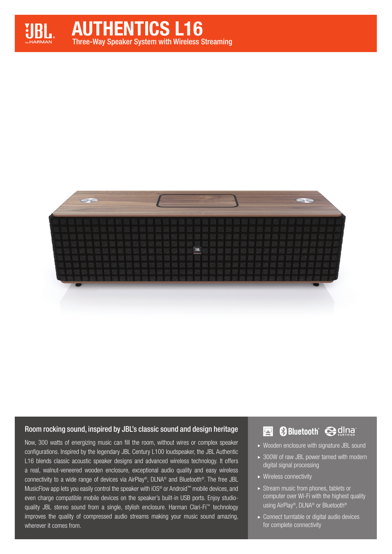



## Room rocking sound, inspired by JBL's classic sound and design heritage

Now, 300 watts of energizing music can fill the room, without wires or complex speaker configurations. Inspired by the legendary JBL Century L100 loudspeaker, the JBL Authentic L16 blends classic acoustic speaker designs and advanced wireless technology. It offers a real, walnut-veneered wooden enclosure, exceptional audio quality and easy wireless connectivity to a wide range of devices via AirPlay®, DLNA® and Bluetooth®. The free JBL MusicFlow app lets you easily control the speaker with iOS® or Android™ mobile devices, and even charge compatible mobile devices on the speaker's built-in USB ports. Enjoy studioquality JBL stereo sound from a single, stylish enclosure. Harman Clari-Fi<sup>™</sup> technology improves the quality of compressed audio streams making your music sound amazing, wherever it comes from.

#### **&Bluetooth** edina  $\left| \nabla \right|$

- Wooden enclosure with signature JBL sound
- ▶ 300W of raw JBL power tamed with modern digital signal processing
- ▶ Wireless connectivity
- $\triangleright$  Stream music from phones, tablets or computer over Wi-Fi with the highest quality using AirPlay®, DLNA® or Bluetooth®
- ▶ Connect turntable or digital audio devices for complete connectivity